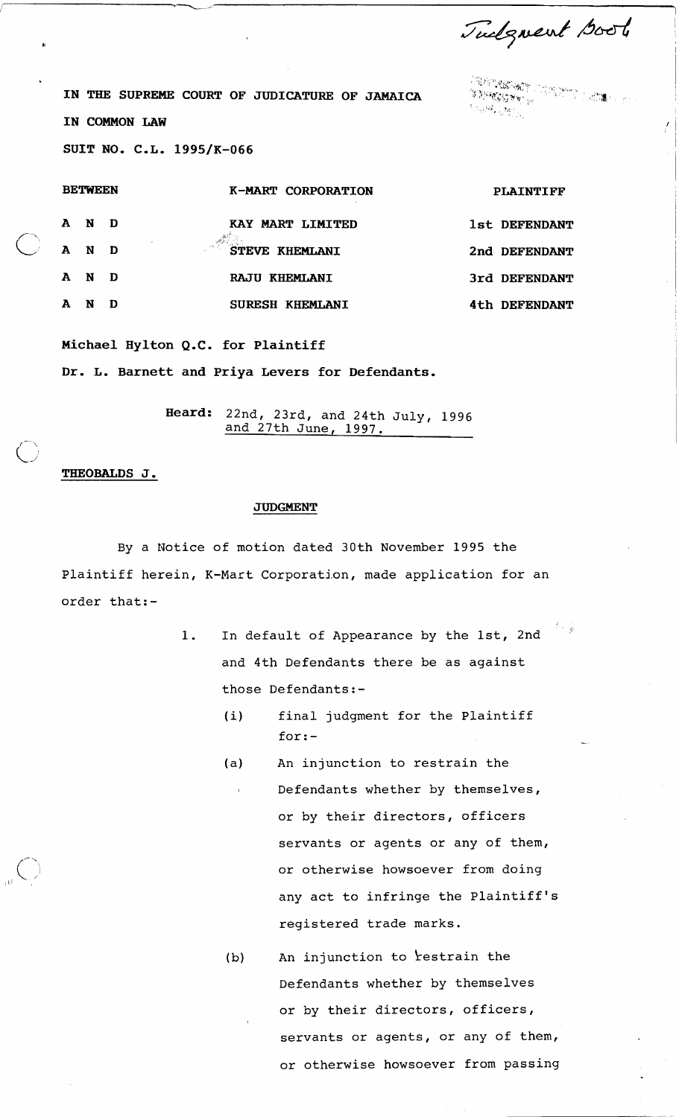Tudgment Goot

.<br>Martin with Children Letters.<br>Martin with Martin Letters. **STREET** 

**IN THE SUPREME COURT OF JUDICATURE OF JAMAICA IN COMMON LAW SUIT NO. C.L. 1995/K-066** 

| <b>BETWEEN</b> |       |              | K-MART CORPORATION               | <b>PLAINTIFF</b> |  |
|----------------|-------|--------------|----------------------------------|------------------|--|
|                | A N D |              | KAY MART LIMITED                 | 1st DEFENDANT    |  |
|                | A N   | $\mathbf{D}$ | STEVE KHEMLANI                   | 2nd DEFENDANT    |  |
|                | A N D |              | <b>RAJU KHEMLANI</b>             | 3rd DEFENDANT    |  |
| A              | N     | D            | <b>KHEMLANI</b><br><b>SURESH</b> | 4th DEFENDANT    |  |

**Michael Hylton Q.C. for Plaintiff** 

**Dr. L. Barnett and Priya Levers for Defendants.** 

**Heard:** 22nd, 23rd, and 24th July, 1996 and 27th June, 1997.

## **THEOBALDS J.**

 $\bigcap$ 

## **JUDGMENT**

By a Notice of motion dated 30th November 1995 the Plaintiff herein, K-Mart Corporation, made application for an order that:-

- 1. In default of Appearance by the lst, 2nd and 4th Defendants there be as against those Defendants:-
	- (i) final judgment for the Plaintiff for:-
	- (a) An injunction to restrain the , Defendants whether by themselves, or by their directors, officers servants or agents or any of them, or otherwise howsoever from doing any act to infringe the Plaintiff's registered trade marks.

(b) An injunction to restrain the Defendants whether by themselves or by their directors, officers, servants or agents, or any of them, or otherwise howsoever from passing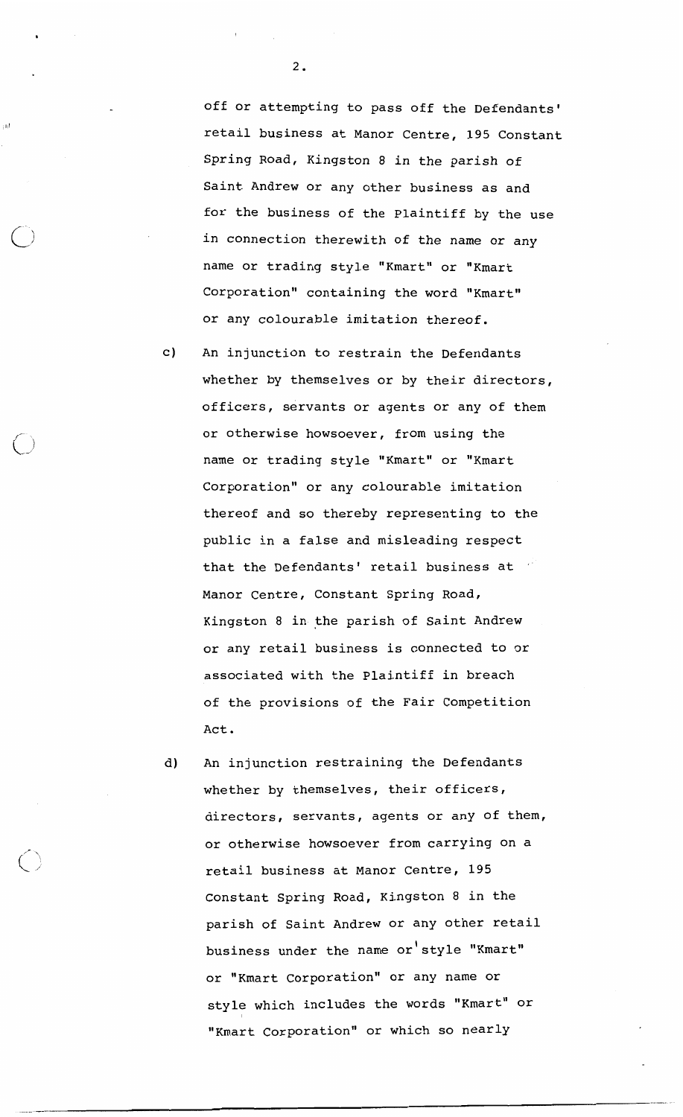off or attempting to pass off the Defendants' retail business at Manor Centre, 195 Constant Spring Road, Kingston 8 in the parish of Saint Andrew or any other business as and for the business of the Plaintiff by the use in connection therewith of the name or any name or trading style "Kmart" or "Kmart Corporation" containing the word "Kmart" or any colourable imitation thereof.

- c) An injunction to restrain the Defendants whether by themselves or by their directors, officers, servants or agents or any of them or otherwise howsoever, from using the name or trading style "Kmart" or "Kmart Corporation" or any colourable imitation thereof and so thereby representing to the public in a false and misleading respect that the Defendants' retail business at Manor Centre, Constant Spring Road, Kingston 8 in the parish of Saint Andrew or any retail business is connected to or associated with the plaintiff in breach of the provisions of the Fair Competition Act.
- d) An injunction restraining the Defendants whether by themselves, their officers, directors, servants, agents or any of them, or otherwise howsoever from carrying on a retail business at Manor Centre, 195 Constant Spring Road, Kingston 8 in the parish of Saint Andrew or any other retail business under the name or style "Kmart" or "Kmart Corporation" or any name or style which includes the words "Kmart" or "Kmart Corporation" or which so nearly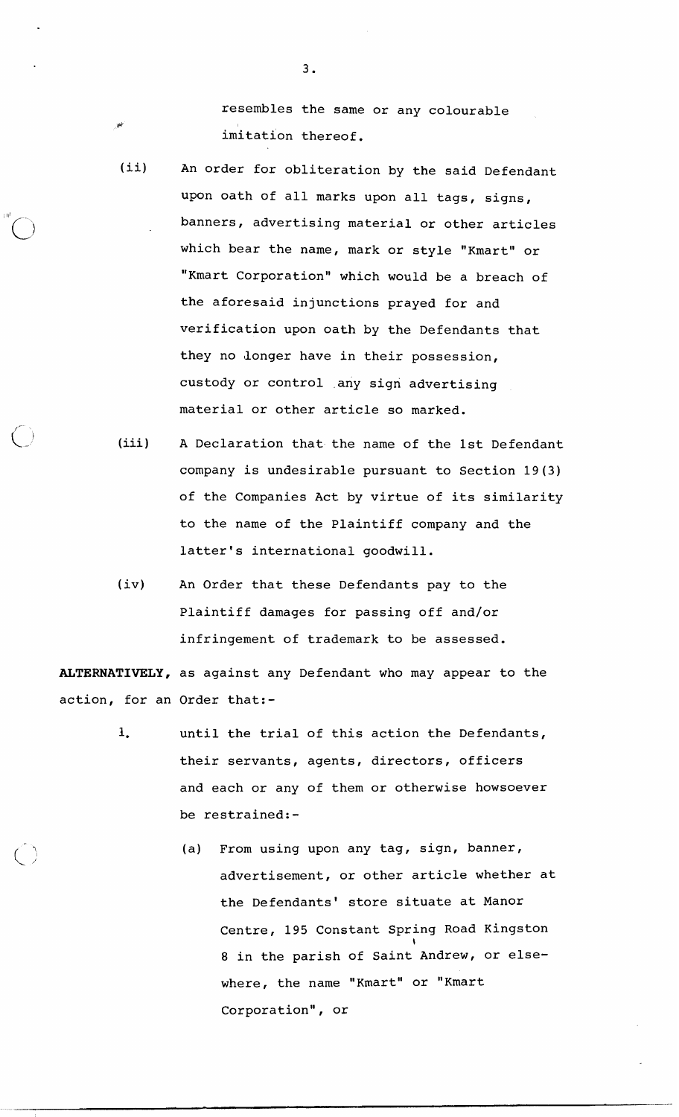resembles the same or any colourable imitation thereof.

- (ii) An order for obliteration by the said Defendant upon oath of all marks upon all tags, signs, banners, advertising material or other articles which bear the name, mark or style "Kmart" or "Kmart Corporation" which would be a breach of the aforesaid injunctions prayed for and verification upon oath by the Defendants that they no longer have in their possession, custody or control any sign advertising material or other article so marked.
- (iii) A Declaration that the name of the 1st Defendant company is undesirable pursuant to Section 19(3) of the Companies Act by virtue of its similarity to the name of the Plaintiff company and the latter's international goodwill.
- (iv) An Order that these Defendants pay to the Plaintiff damages for passing off and/or infringement of trademark to be assessed.

ALTERNATIVELY, as against any Defendant who may appear to the action, for an Order that:-

- **1.** until the trial of this action the Defendants, their servants, agents, directors, officers and each or any of them or otherwise howsoever be restrained:-
	- (a) From using upon any tag, sign, banner, advertisement, or other article whether at the Defendants' store situate at Manor Centre, 195 Constant Spring Road Kingston 8 in the parish of Saint Andrew, or elsewhere, the name "Kmart" or "Kmart Corporation", or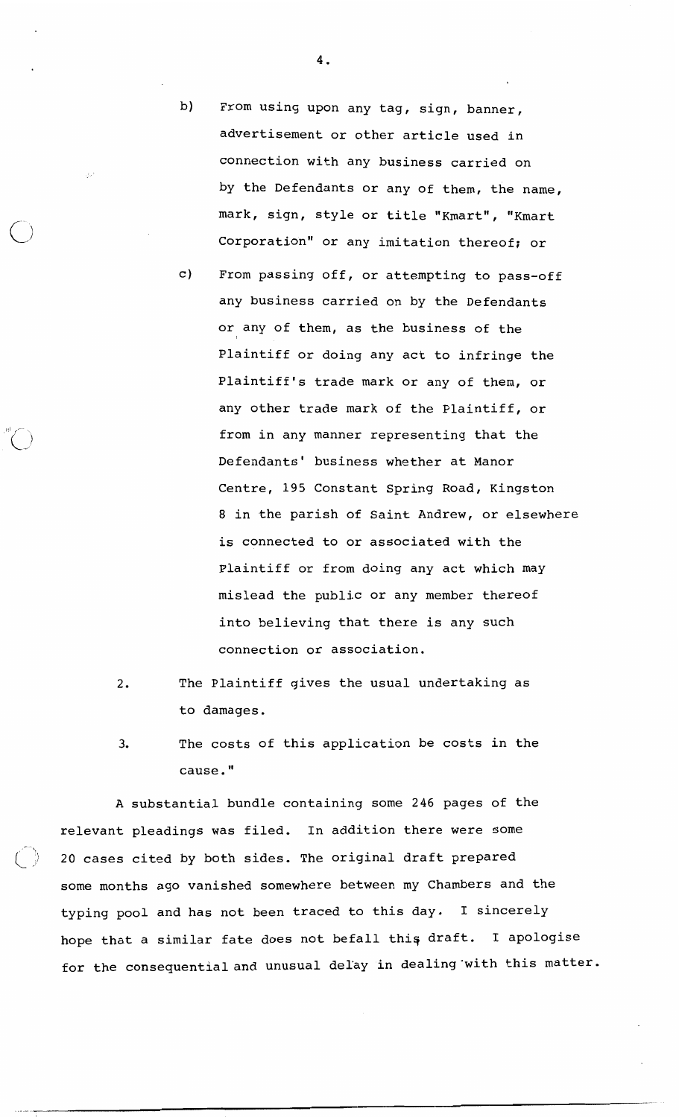4.

 $\bigcup_{i=1}^n$ 

-

- b) From using upon any tag, sign, banner, advertisement or other article used in connection with any business carried on by the Defendants or any of them, the name, mark, sign, style or title "Kmart", "Kmart Corporation" or any imitation thereof; or
- c) From passing off, or attempting to pass-off any business carried on by the Defendants or any of them, as the business of the Plaintiff or doing any act to infringe the Plaintiff's trade mark or any of them, or any other trade mark of the Plaintiff, or from in any manner representing that the Defendants' business whether at Manor Centre, 195 Constant Spring Road, Kingston 8 in the parish of Saint Andrew, or elsewhere is connected to or associated with the Plaintiff or from doing any act which may mislead the public or any member thereof into believing that there is any such connection or association.
- $\overline{2}$ . The Plaintiff gives the usual undertaking as to damages.
- The costs of this application be costs in the  $3.$ cause. "

A substantial bundle containing some 246 pages of the relevant pleadings was filed. In addition there were some 20 cases cited by both sides. The original draft prepared some months ago vanished somewhere between my Chambers and the typing pool and has not been traced to this day. I sincerely hope that a similar fate does not befall thig draft. I apologise for the consequential and unusual delay in dealing'with this matter.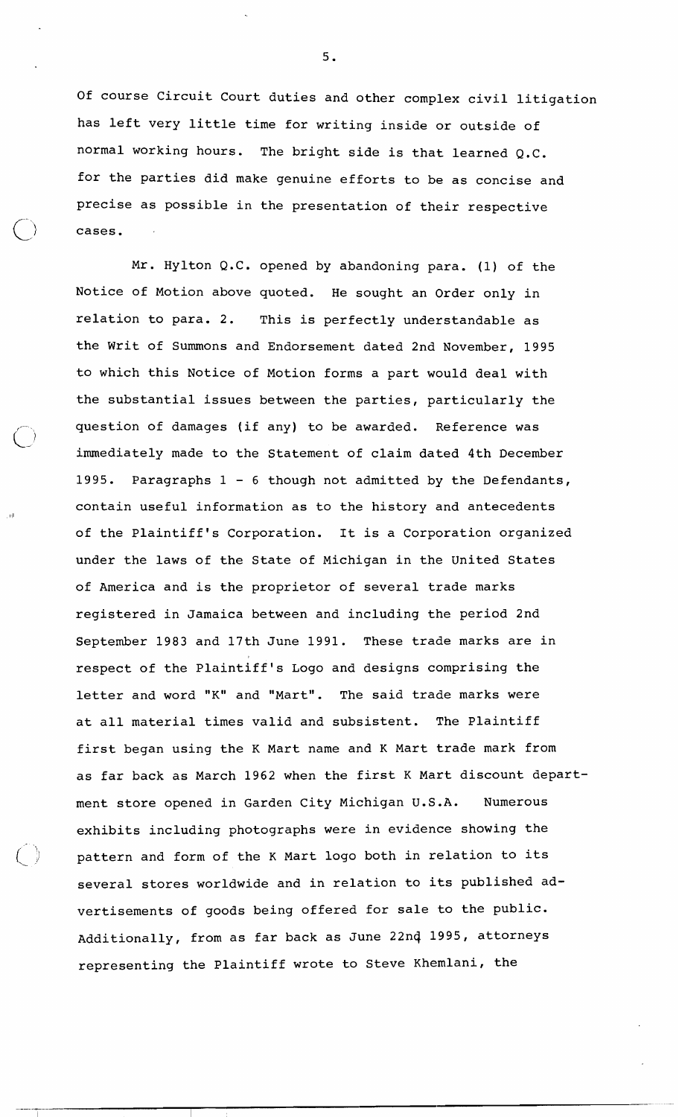Of course Circuit Court duties and other complex civil litigation has left very little time for writing inside or outside of normal working hours. The bright side is that learned Q.C. for the parties did make genuine efforts to be as concise and precise as possible in the presentation of their respective cases.

Mr. Hylton Q.C. opened by abandoning para. (1) of the Notice of Motion above quoted. He sought an Order only in relation to para. 2. This is perfectly understandable as the Writ of Summons and Endorsement dated 2nd November, 1995 to which this Notice of Motion forms a part would deal with the substantial issues between the parties, particularly the question of damages (if any) to be awarded. Reference was immediately made to the Statement of claim dated 4th December 1995. Paragraphs  $1 - 6$  though not admitted by the Defendants, contain useful information as to the history and antecedents of the Plaintiff's Corporation. It is a corporation organized under the laws of the State of Michigan in the United States of America and is the proprietor of several trade marks registered in Jamaica between and including the period 2nd September 1983 and 17th June 1991. These trade marks are in respect of the Plaintiff's Logo and designs comprising the letter and word **"K"** and "Mart". The said trade marks were at all material times valid and subsistent. The Plaintiff first began using the **K** Mart name and K Mart trade mark from as far back as March 1962 when the first K Mart discount department store opened in Garden City Michigan U.S.A. Numerous exhibits including photographs were in evidence showing the pattern and form of the K Mart logo both in relation to its several stores worldwide and in relation to its published advertisements of goods being offered for sale to the public. Additionally, from as far back as June 22n4 1995, attorneys representing the Plaintiff wrote to Steve Khemlani, the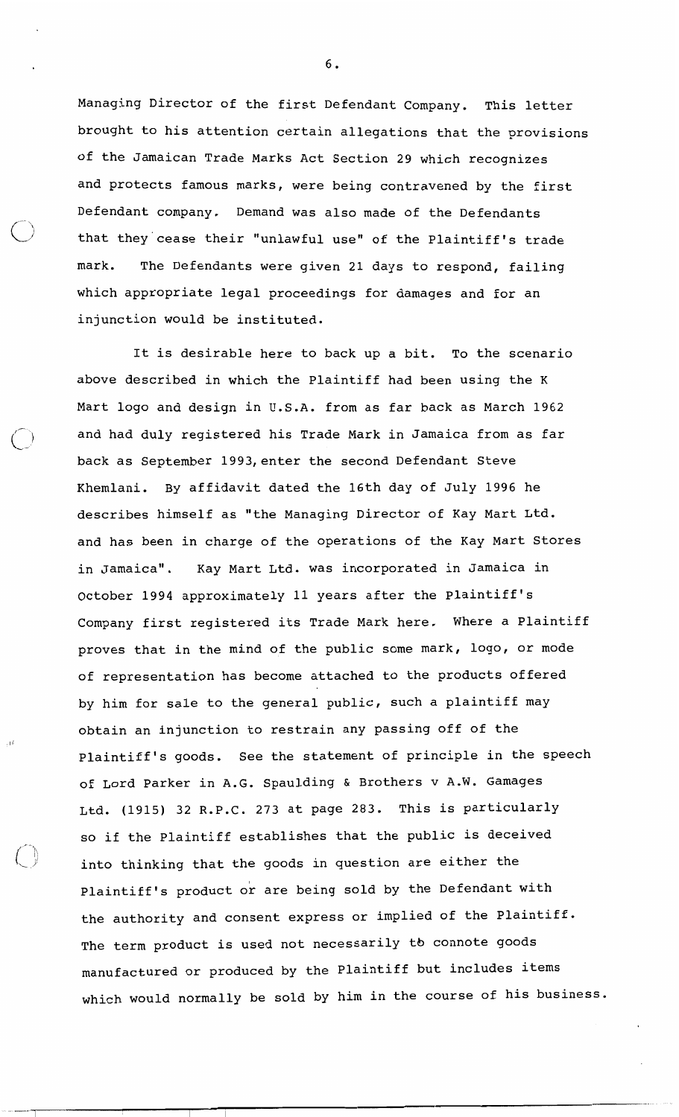Managing Director of the first Defendant Company. This letter brought to his attention certain allegations that the provisions of the Jamaican Trade Marks Act Section 29 which recognizes and protects famous marks, were being contravened by the first Defendant company. Demand was also made of the Defendants that they cease their "unlawful use" of the Plaintiff's trade mark. The Defendants were given 21 days to respond, failing which appropriate legal proceedings for damages and for an injunction would be instituted.

--

 $\mathcal{L}$ 

It is desirable here to back up a bit. To the scenario above described in which the Plaintiff had been using the K Mart logo and design in U.S.A. from as far back as March 1962 and had duly registered his Trade Mark in Jamaica from as far back as September 1993, enter the second Defendant Steve Khemlani. By affidavit dated the 16th day of July 1996 he describes himself as "the Managing Director of Kay Mart Ltd. and has been in charge of the operations of the Kay Mart Stores in Jamaica". Kay Mart Ltd. was incorporated in Jamaica in October 1994 approximately 11 years after the Plaintiff's Company first registered its Trade Mark here. Where a Plaintiff proves that in the mind of the public some mark, logo, or mode of representation has become attached to the products offered by him for sale to the general public, such a plaintiff may obtain an injunction to restrain any passing off of the Plaintiff's goods. See the statement of principle in the speech of Lord Parker in A.G. Spaulding & Brothers v A.W. Gamages Ltd. (1915) 32 R.P.C. 273 at page 283. This is particularly so if the Plaintiff establishes that the public is deceived into thinking that the goods in question are either the Plaintiff's product or are being sold by the Defendant with the authority and consent express or implied of the Plaintiff. The term product is used not necessarily to connote goods manufactured or produced by the Plaintiff but includes items which would normally be sold by him in the course of his business.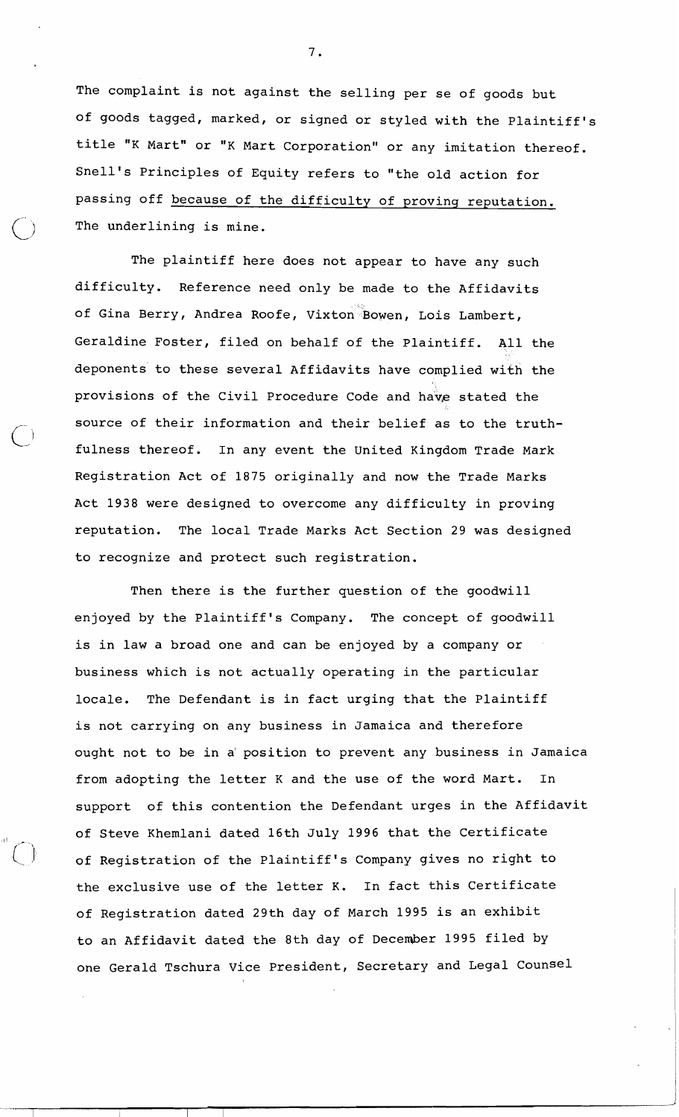The complaint is not against the selling per se of goods but of goods tagged, marked, or signed or styled with the Plaintiff's title "K Mart" or "K Mart Corporation" or any imitation thereof. Snell's Principles of Equity refers to "the old action for passing off because of the difficulty of proving reputation. The underlining is mine.

The plaintiff here does not appear to have any such difficulty. Reference need only be made to the Affidavits of Gina Berry, Andrea Roofe, Vixton Bowen, Lois Lambert, Geraldine Foster, filed on behalf of the Plaintiff. All the deponents to these several Affidavits have complied with the provisions of the Civil Procedure Code and have stated the source of their information and their belief as to the truthfulness thereof. In any event the United Kingdom Trade Mark Registration Act of 1875 originally and now the Trade Marks Act 1938 were designed to overcome any difficulty in proving reputation. The local Trade Marks Act Section 29 was designed to recognize and protect such registration.

Then there is the further question of the goodwill enjoyed by the Plaintiff's Company. The concept of goodwill is in law a broad one and can be enjoyed by a company or business which is not actually operating in the particular locale. The Defendant is in fact urging that the Plaintiff is not carrying on any business in Jamaica and therefore ought not to be in a' position to prevent any business in Jamaica from adopting the letter K and the use of the word Mart. In support of this contention the Defendant urges in the Affidavit of Steve Khemlani dated 16th July 1996 that the Certificate of Registration of the Plaintiff's Company gives no right to the exclusive use of the letter K. In fact this Certificate of Registration dated 29th day of March 1995 is an exhibit to an Affidavit dated the 8th day of December 1995 filed by one Gerald Tschura Vice President, Secretary and Legal counsel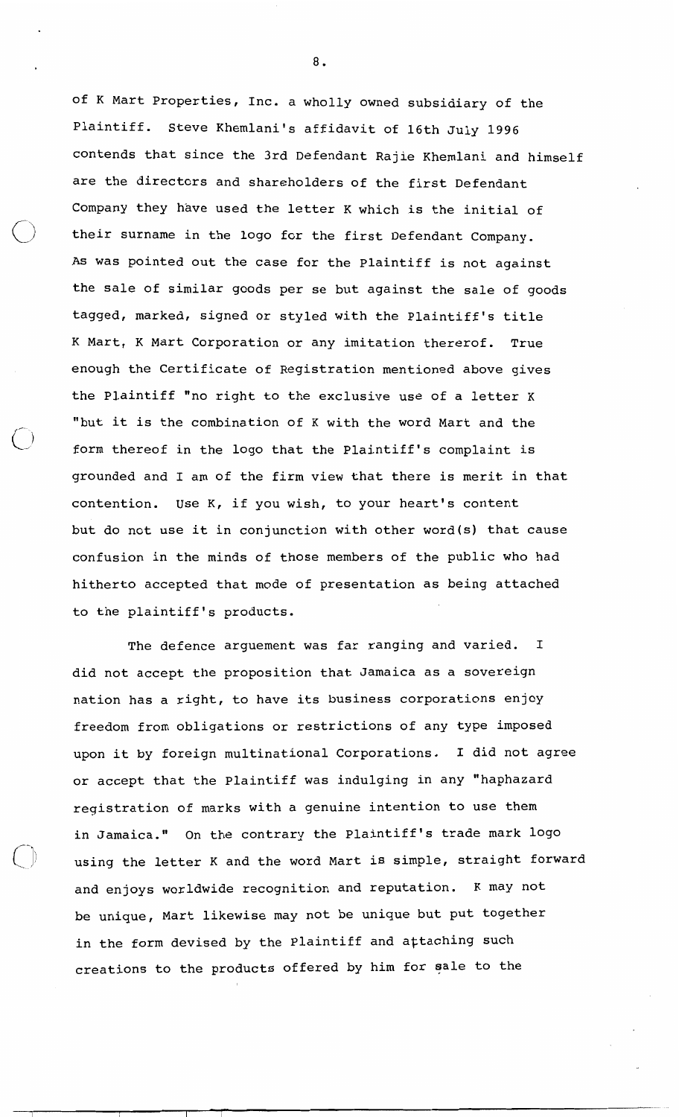of K Mart properties, Inc. a wholly owned subsidiary of the Plaintiff. Steve Khemlani's affidavit of 16th July 1996 contends that since the 3rd Defendant Rajie Khemlani and himself are the directors and shareholders of the first Defendant Company they have used the letter K which is the initial of their surname in the logo for the first Defendant Company. As was pointed out the case for the Plaintiff is not against the sale of similar goods per se but against the sale of goods tagged, marked, signed or styled with the Plaintiff's title K Mart, K Mart Corporation or any imitation thererof. True enough the Certificate of Registration mentioned above gives the Plaintiff "no right to the exclusive use of a letter K "but it is the combination of K with the word Mart and the form thereof in the logo that the Plaintiff's complaint is grounded and I am of the firm view that there is merit in that contention. Use K, if you wish, to your heart's content but do not use it in conjunction with other word(s) that cause confusion in the minds of those members of the public who had hitherto accepted that mode of presentation as being attached to the plaintiff's products.

The defence arguement was far ranging and varied. I did not accept the proposition that Jamaica as a sovereign nation has a right, to have its business corporations enjoy freedom from obligations or restrictions of any type imposed upon it by foreign multinational Corporations. I did not agree or accept that the Plaintiff was indulging in any "haphazard registration of marks with a genuine intention to use them in Jamaica." On the contrary the Plaintiff's trade mark logo using the letter K and the word Mart ia simple, straight forward and enjoys worldwide recognition and reputation. K may not be unique, Mart likewise may not be unique but put together in the form devised by the Plaintiff and attaching such creations to the products offered by him for sale to the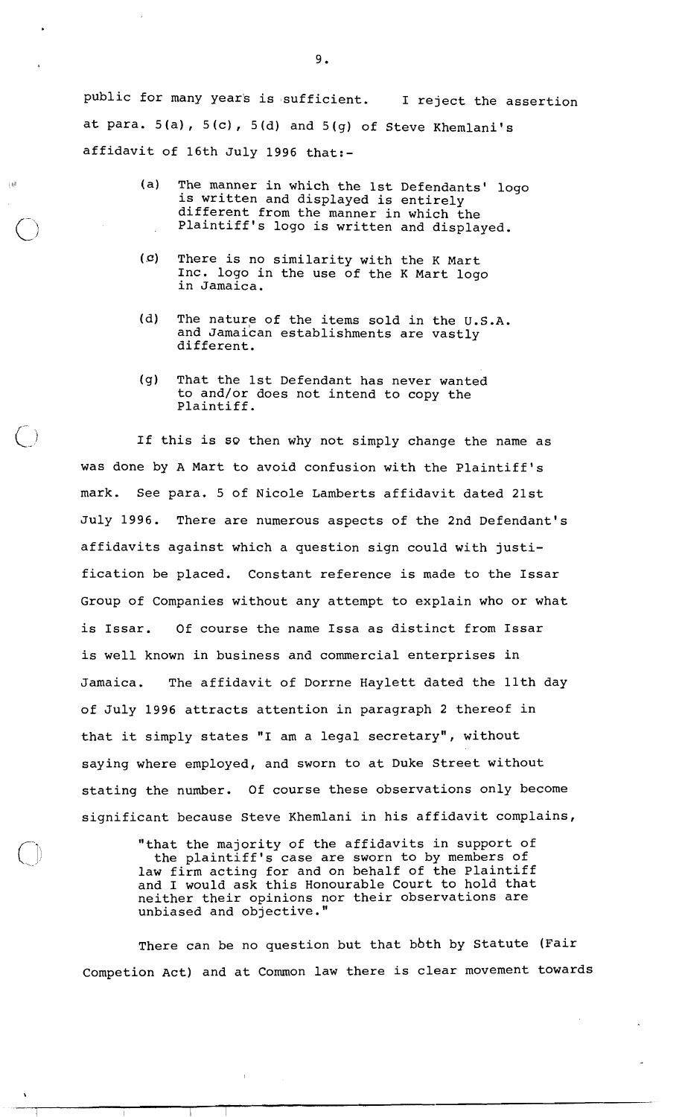public for many year's is sufficient. I reject the assertion at para.  $5(a)$ ,  $5(c)$ ,  $5(d)$  and  $5(g)$  of Steve Khemlani's affidavit of 16th July 1996 that:-

- (a) The manner in which the 1st Defendants' logo is written and displayed is entirely different from the manner in which the Plaintiff's logo is written and displayed.
- (c) There is no similarity with the K Mart Inc. logo in the use of the K Mart logo in Jamaica.

主体

- (d) The nature of the items sold in the U.S.A. and Jamaican establishments are vastly different.
- (g) That the 1st Defendant has never wanted to and/or does not intend to copy the Plaintiff.

If this is so then why not simply change the name as was done by A Mart to avoid confusion with the Plaintiff's mark. See para. 5 of Nicole Lamberts affidavit dated 21st July 1996. There are numerous aspects of the 2nd Defendant's affidavits against which a question sign could with justification be placed. Constant reference is made to the Issar Group of Companies without any attempt to explain who or what is Issar. Of course the name Issa as distinct from Issar is well known in business and commercial enterprises in Jamaica. The affidavit of Dorrne Haylett dated the 11th day of July 1996 attracts attention in paragraph 2 thereof in that it simply states "I am a legal secretary", without saying where employed, and sworn to at Duke Street without stating the number. Of course these observations only become significant because Steve Khemlani in his affidavit complains,

> "that the majority of the affidavits in support of the plaintiff's case are sworn to by members of law firm acting for and on behalf of the Plaintiff and I would ask this Honourable Court to hold that neither their opinions nor their observations are unbiased and objective."

There can be no question but that bbth by Statute (Fair Competion Act) and at Common law there is clear movement towards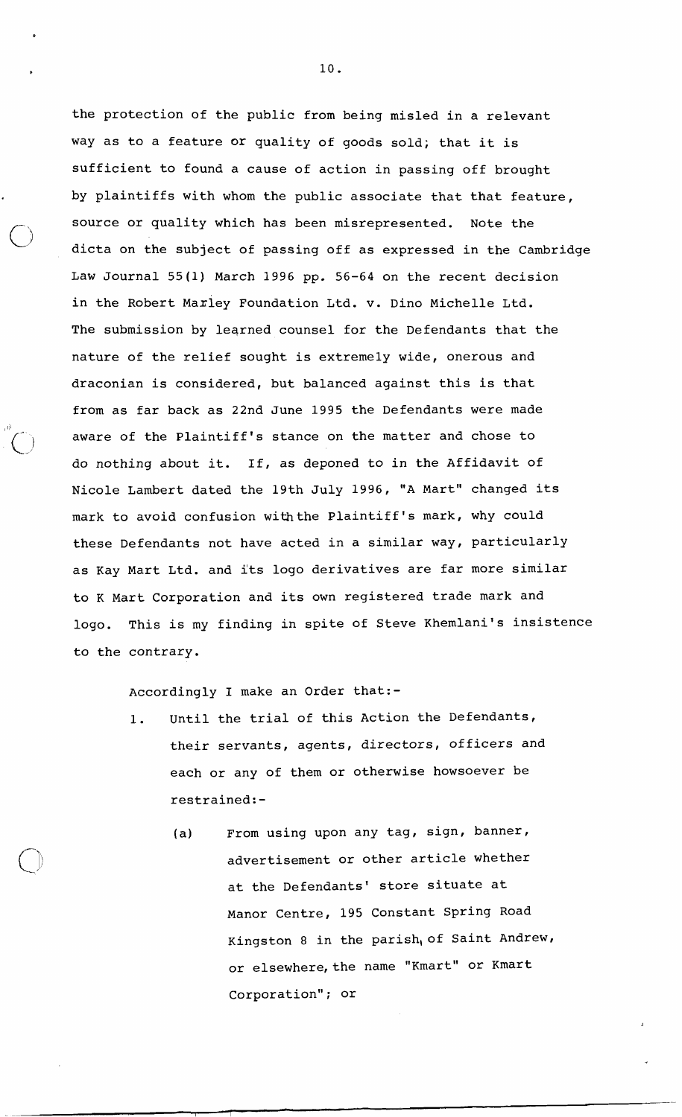the protection of the public from being misled in a relevant way as to a feature **or** quality of goods sold; that it is sufficient to found a cause of action in passing off brought by plaintiffs with whom the public associate that that feature, source or quality which has been misrepresented. Note the dicta on the subject of passing off as expressed in the Cambridge Law Journal 55(1) March 1996 pp. 56-64 on the recent decision in the Robert Maxley Foundation Ltd. v. Din0 Michelle Ltd. The submission by leqrned counsel for the Defendants that the nature of the relief sought is extremely wide, onerous and draconian is considered, but balanced against this is that from as far back as 22nd June 1995 the Defendants were made aware of the Plaintiff's stance on the matter and chose to do nothing about it. If, as deponed to in the Affidavit of Nicole Lambert dated the 19th July 1996, "A Mart" changed its mark to avoid confusion withthe Plaintiff's mark, why could these Defendants not have acted in a similar way, particularly as Kay Mart Ltd. and its logo derivatives are far more similar to K Mart Corporation and its own registered trade mark and logo. This is my finding in spite of Steve Khemlani's insistence to the contrary.

Accordingly I make an Order that:-

 $\blacksquare$ 

- 1. Until the trial of this Action the Defendants, their servants, agents, directors, officers and each or any of them or otherwise howsoever be restrained:-
	- (a) From using upon any tag, sign, banner, advertisement or other article whether at the Defendants' store situate at Manor Centre, 195 Constant Spring Road Kingston 8 in the parish, of Saint Andrew, or elsewhere, the name "Kmart" or Kmart Corporation"; or